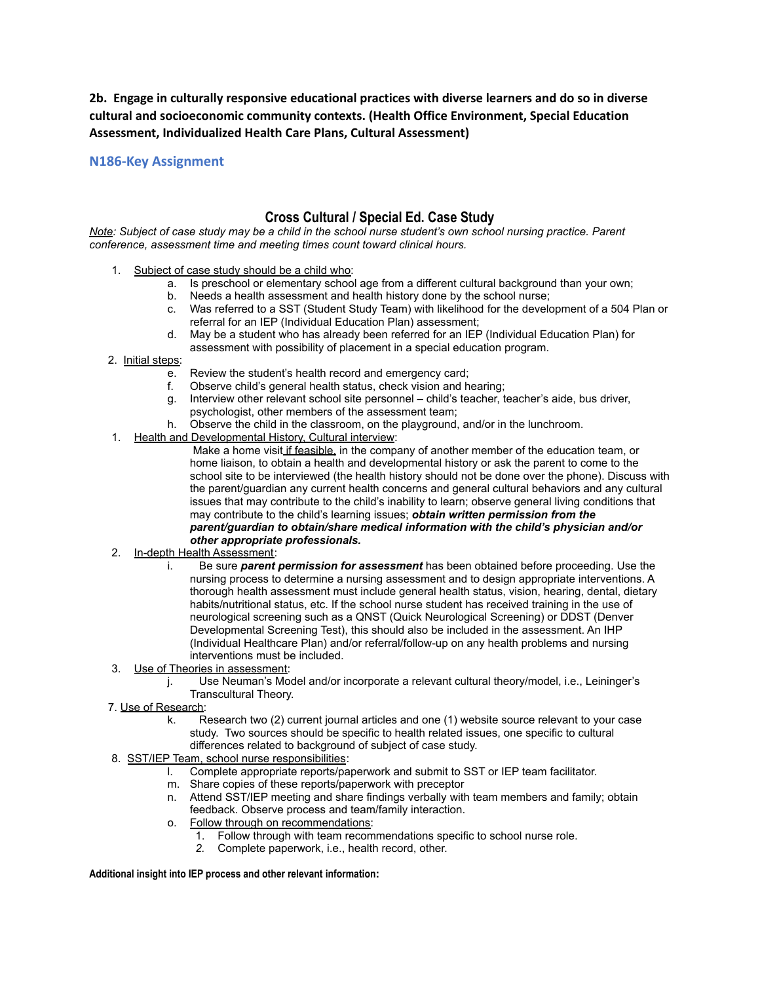**2b. Engage in culturally responsive educational practices with diverse learners and do so in diverse cultural and socioeconomic community contexts. (Health Office Environment, Special Education Assessment, Individualized Health Care Plans, Cultural Assessment)**

**N186-Key Assignment**

## **Cross Cultural / Special Ed. Case Study**

*Note: Subject of case study may be a child in the school nurse student's own school nursing practice. Parent conference, assessment time and meeting times count toward clinical hours.*

- 1. Subject of case study should be a child who:
	- a. Is preschool or elementary school age from a different cultural background than your own;
	- b. Needs a health assessment and health history done by the school nurse;
	- c. Was referred to a SST (Student Study Team) with likelihood for the development of a 504 Plan or referral for an IEP (Individual Education Plan) assessment;
	- d. May be a student who has already been referred for an IEP (Individual Education Plan) for assessment with possibility of placement in a special education program.
- 2. Initial steps:
	- e. Review the student's health record and emergency card;
	- f. Observe child's general health status, check vision and hearing;
	- g. Interview other relevant school site personnel child's teacher, teacher's aide, bus driver, psychologist, other members of the assessment team;
	- h. Observe the child in the classroom, on the playground, and/or in the lunchroom.
- 1. Health and Developmental History, Cultural interview:

Make a home visit if feasible, in the company of another member of the education team, or home liaison, to obtain a health and developmental history or ask the parent to come to the school site to be interviewed (the health history should not be done over the phone). Discuss with the parent/guardian any current health concerns and general cultural behaviors and any cultural issues that may contribute to the child's inability to learn; observe general living conditions that may contribute to the child's learning issues; *obtain written permission from the parent/guardian to obtain/share medical information with the child's physician and/or other appropriate professionals.*

- 2. In-depth Health Assessment:
	- i. Be sure *parent permission for assessment* has been obtained before proceeding. Use the nursing process to determine a nursing assessment and to design appropriate interventions. A thorough health assessment must include general health status, vision, hearing, dental, dietary habits/nutritional status, etc. If the school nurse student has received training in the use of neurological screening such as a QNST (Quick Neurological Screening) or DDST (Denver Developmental Screening Test), this should also be included in the assessment. An IHP (Individual Healthcare Plan) and/or referral/follow-up on any health problems and nursing interventions must be included.
- 3. Use of Theories in assessment:
	- j. Use Neuman's Model and/or incorporate a relevant cultural theory/model, i.e., Leininger's Transcultural Theory.
- 7. Use of Research:
	- k. Research two (2) current journal articles and one (1) website source relevant to your case study. Two sources should be specific to health related issues, one specific to cultural differences related to background of subject of case study.
- 8. SST/IEP Team, school nurse responsibilities:
	- Complete appropriate reports/paperwork and submit to SST or IEP team facilitator.
	- m. Share copies of these reports/paperwork with preceptor
	- n. Attend SST/IEP meeting and share findings verbally with team members and family; obtain feedback. Observe process and team/family interaction.
	- o. Follow through on recommendations:
		- 1. Follow through with team recommendations specific to school nurse role.
			- *2.* Complete paperwork, i.e., health record, other.

**Additional insight into IEP process and other relevant information:**